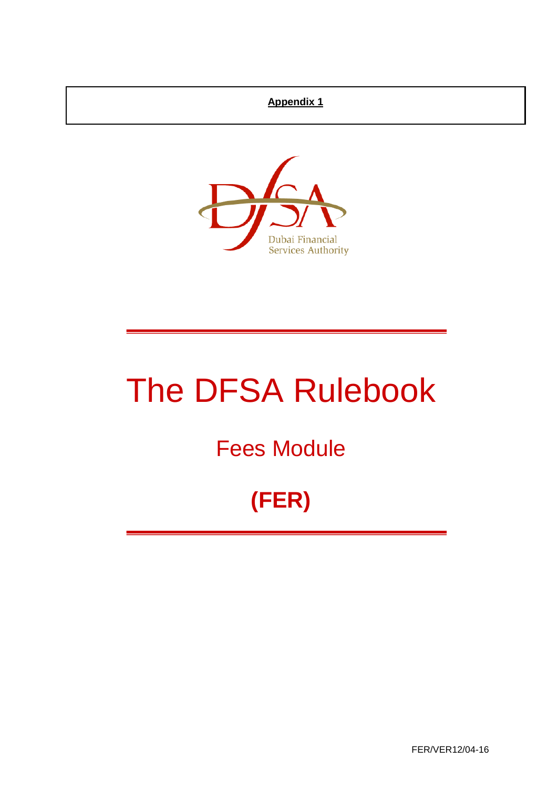#### **Appendix 1**



# The DFSA Rulebook

# Fees Module

# **(FER)**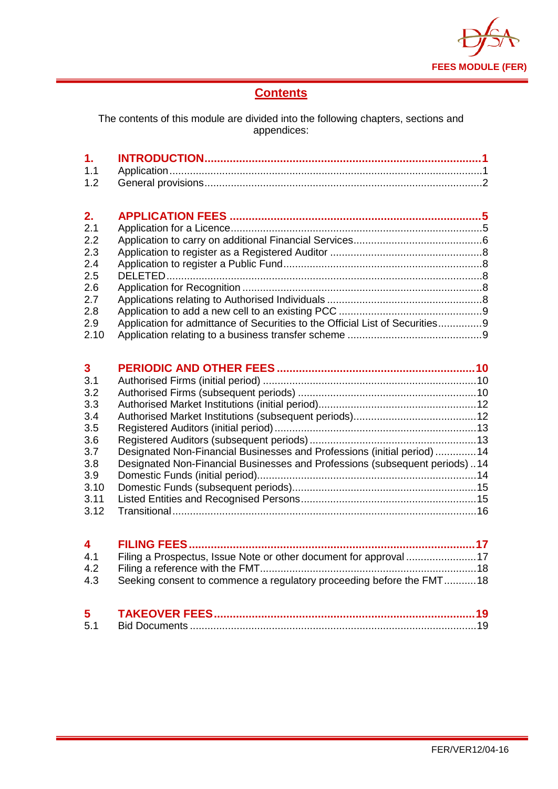

# **Contents**

The contents of this module are divided into the following chapters, sections and appendices:

| 2.   |                                                                              |  |
|------|------------------------------------------------------------------------------|--|
| 2.1  |                                                                              |  |
| 2.2  |                                                                              |  |
| 2.3  |                                                                              |  |
| 2.4  |                                                                              |  |
| 2.5  |                                                                              |  |
| 2.6  |                                                                              |  |
| 2.7  |                                                                              |  |
| 2.8  |                                                                              |  |
| 2.9  | Application for admittance of Securities to the Official List of Securities9 |  |
| 2.10 |                                                                              |  |

| $\mathbf{3}$ |                                                                            |  |
|--------------|----------------------------------------------------------------------------|--|
| 3.1          |                                                                            |  |
| 3.2          |                                                                            |  |
| 3.3          |                                                                            |  |
| 3.4          |                                                                            |  |
| 3.5          |                                                                            |  |
| 3.6          |                                                                            |  |
| 3.7          | Designated Non-Financial Businesses and Professions (initial period) 14    |  |
| 3.8          | Designated Non-Financial Businesses and Professions (subsequent periods)14 |  |
| 3.9          |                                                                            |  |
| 3.10         |                                                                            |  |
| 3.11         |                                                                            |  |
| 3.12         |                                                                            |  |

| 4.1 Filing a Prospectus, Issue Note or other document for approval 17    |  |
|--------------------------------------------------------------------------|--|
|                                                                          |  |
| 4.3 Seeking consent to commence a regulatory proceeding before the FMT18 |  |
|                                                                          |  |

| 5   |  |
|-----|--|
| 5.1 |  |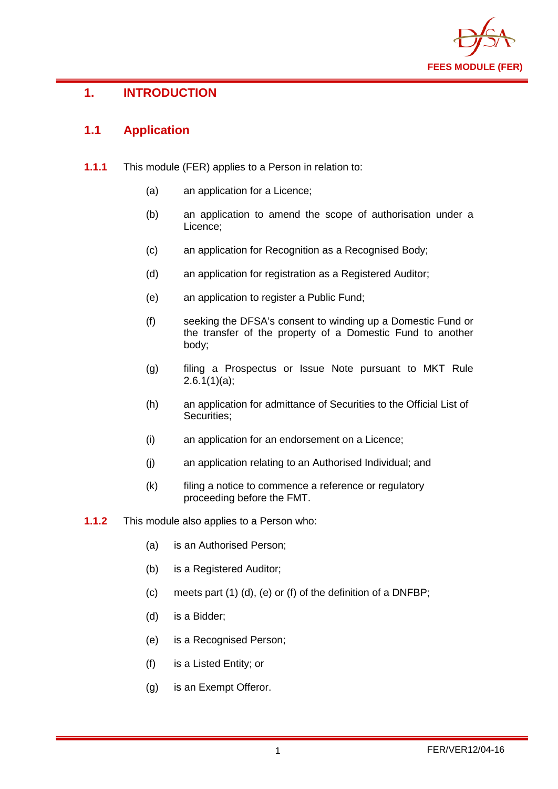

# <span id="page-2-0"></span>**1. INTRODUCTION**

### <span id="page-2-1"></span>**1.1 Application**

- **1.1.1** This module (FER) applies to a Person in relation to:
	- (a) an application for a Licence;
	- (b) an application to amend the scope of authorisation under a Licence;
	- (c) an application for Recognition as a Recognised Body;
	- (d) an application for registration as a Registered Auditor;
	- (e) an application to register a Public Fund;
	- (f) seeking the DFSA's consent to winding up a Domestic Fund or the transfer of the property of a Domestic Fund to another body;
	- (g) filing a Prospectus or Issue Note pursuant to MKT Rule  $2.6.1(1)(a)$ ;
	- (h) an application for admittance of Securities to the Official List of Securities;
	- (i) an application for an endorsement on a Licence;
	- (j) an application relating to an Authorised Individual; and
	- (k) filing a notice to commence a reference or regulatory proceeding before the FMT.
- **1.1.2** This module also applies to a Person who:
	- (a) is an Authorised Person;
	- (b) is a Registered Auditor;
	- (c) meets part (1) (d), (e) or (f) of the definition of a DNFBP;
	- (d) is a Bidder;
	- (e) is a Recognised Person;
	- (f) is a Listed Entity; or
	- (g) is an Exempt Offeror.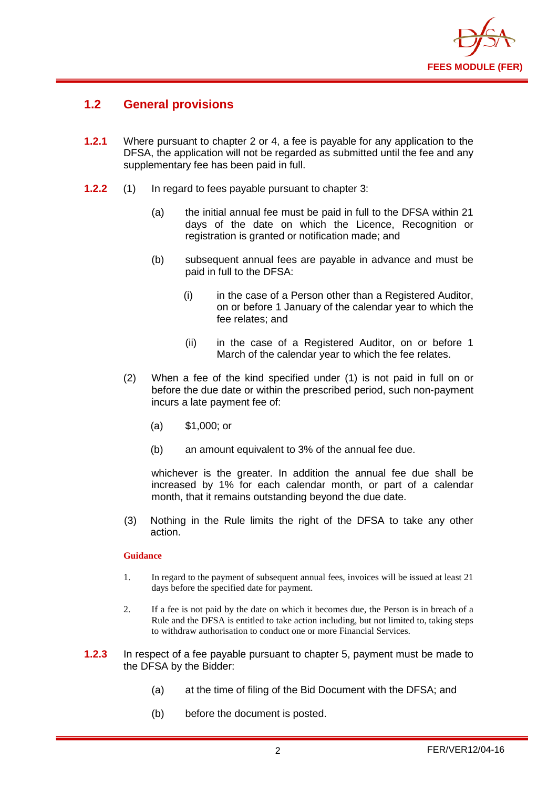

#### <span id="page-3-0"></span>**1.2 General provisions**

- **1.2.1** Where pursuant to chapter 2 or 4, a fee is payable for any application to the DFSA, the application will not be regarded as submitted until the fee and any supplementary fee has been paid in full.
- **1.2.2** (1) In regard to fees payable pursuant to chapter 3:
	- (a) the initial annual fee must be paid in full to the DFSA within 21 days of the date on which the Licence, Recognition or registration is granted or notification made; and
	- (b) subsequent annual fees are payable in advance and must be paid in full to the DFSA:
		- (i) in the case of a Person other than a Registered Auditor, on or before 1 January of the calendar year to which the fee relates; and
		- (ii) in the case of a Registered Auditor, on or before 1 March of the calendar year to which the fee relates.
	- (2) When a fee of the kind specified under (1) is not paid in full on or before the due date or within the prescribed period, such non-payment incurs a late payment fee of:
		- (a) \$1,000; or
		- (b) an amount equivalent to 3% of the annual fee due.

whichever is the greater. In addition the annual fee due shall be increased by 1% for each calendar month, or part of a calendar month, that it remains outstanding beyond the due date.

(3) Nothing in the Rule limits the right of the DFSA to take any other action.

#### **Guidance**

- 1. In regard to the payment of subsequent annual fees, invoices will be issued at least 21 days before the specified date for payment.
- 2. If a fee is not paid by the date on which it becomes due, the Person is in breach of a Rule and the DFSA is entitled to take action including, but not limited to, taking steps to withdraw authorisation to conduct one or more Financial Services.
- **1.2.3** In respect of a fee payable pursuant to chapter 5, payment must be made to the DFSA by the Bidder:
	- (a) at the time of filing of the Bid Document with the DFSA; and
	- (b) before the document is posted.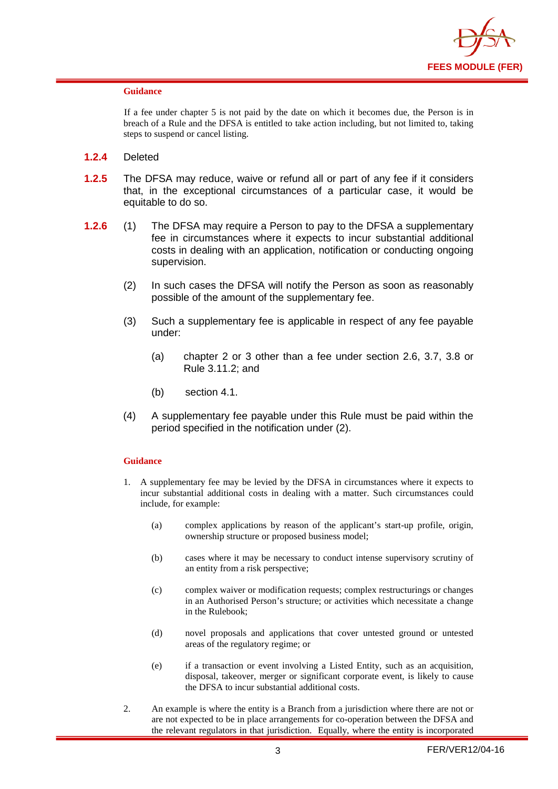

#### **Guidance**

If a fee under chapter 5 is not paid by the date on which it becomes due, the Person is in breach of a Rule and the DFSA is entitled to take action including, but not limited to, taking steps to suspend or cancel listing.

- **1.2.4** Deleted
- **1.2.5** The DFSA may reduce, waive or refund all or part of any fee if it considers that, in the exceptional circumstances of a particular case, it would be equitable to do so.
- **1.2.6** (1) The DFSA may require a Person to pay to the DFSA a supplementary fee in circumstances where it expects to incur substantial additional costs in dealing with an application, notification or conducting ongoing supervision.
	- (2) In such cases the DFSA will notify the Person as soon as reasonably possible of the amount of the supplementary fee.
	- (3) Such a supplementary fee is applicable in respect of any fee payable under:
		- (a) chapter 2 or 3 other than a fee under section 2.6, 3.7, 3.8 or Rule 3.11.2; and
		- (b) section 4.1.
	- (4) A supplementary fee payable under this Rule must be paid within the period specified in the notification under (2).

#### **Guidance**

- 1. A supplementary fee may be levied by the DFSA in circumstances where it expects to incur substantial additional costs in dealing with a matter. Such circumstances could include, for example:
	- (a) complex applications by reason of the applicant's start-up profile, origin, ownership structure or proposed business model;
	- (b) cases where it may be necessary to conduct intense supervisory scrutiny of an entity from a risk perspective;
	- (c) complex waiver or modification requests; complex restructurings or changes in an Authorised Person's structure; or activities which necessitate a change in the Rulebook;
	- (d) novel proposals and applications that cover untested ground or untested areas of the regulatory regime; or
	- (e) if a transaction or event involving a Listed Entity, such as an acquisition, disposal, takeover, merger or significant corporate event, is likely to cause the DFSA to incur substantial additional costs.
- 2. An example is where the entity is a Branch from a jurisdiction where there are not or are not expected to be in place arrangements for co-operation between the DFSA and the relevant regulators in that jurisdiction. Equally, where the entity is incorporated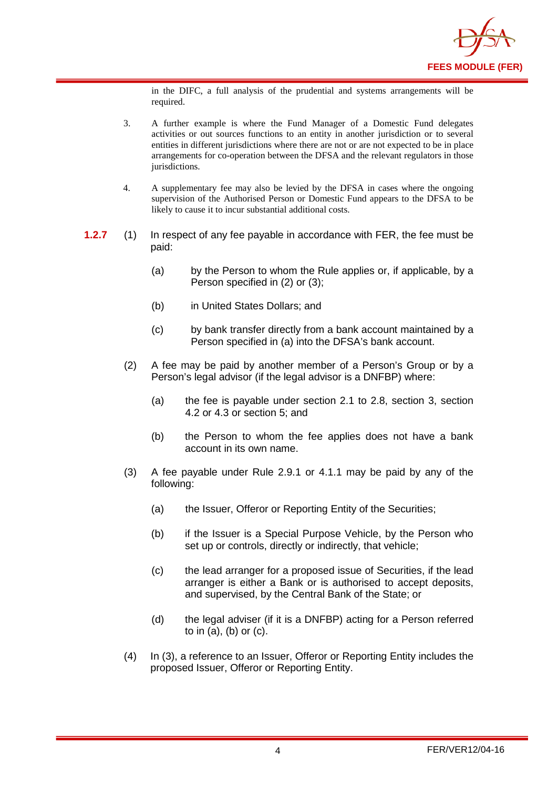

in the DIFC, a full analysis of the prudential and systems arrangements will be required.

- 3. A further example is where the Fund Manager of a Domestic Fund delegates activities or out sources functions to an entity in another jurisdiction or to several entities in different jurisdictions where there are not or are not expected to be in place arrangements for co-operation between the DFSA and the relevant regulators in those jurisdictions.
- 4. A supplementary fee may also be levied by the DFSA in cases where the ongoing supervision of the Authorised Person or Domestic Fund appears to the DFSA to be likely to cause it to incur substantial additional costs.
- **1.2.7** (1) In respect of any fee payable in accordance with FER, the fee must be paid:
	- (a) by the Person to whom the Rule applies or, if applicable, by a Person specified in (2) or (3);
	- (b) in United States Dollars; and
	- (c) by bank transfer directly from a bank account maintained by a Person specified in (a) into the DFSA's bank account.
	- (2) A fee may be paid by another member of a Person's Group or by a Person's legal advisor (if the legal advisor is a DNFBP) where:
		- (a) the fee is payable under section 2.1 to 2.8, section 3, section 4.2 or 4.3 or section 5; and
		- (b) the Person to whom the fee applies does not have a bank account in its own name.
	- (3) A fee payable under Rule 2.9.1 or 4.1.1 may be paid by any of the following:
		- (a) the Issuer, Offeror or Reporting Entity of the Securities;
		- (b) if the Issuer is a Special Purpose Vehicle, by the Person who set up or controls, directly or indirectly, that vehicle;
		- (c) the lead arranger for a proposed issue of Securities, if the lead arranger is either a Bank or is authorised to accept deposits, and supervised, by the Central Bank of the State; or
		- (d) the legal adviser (if it is a DNFBP) acting for a Person referred to in (a), (b) or (c).
	- (4) In (3), a reference to an Issuer, Offeror or Reporting Entity includes the proposed Issuer, Offeror or Reporting Entity.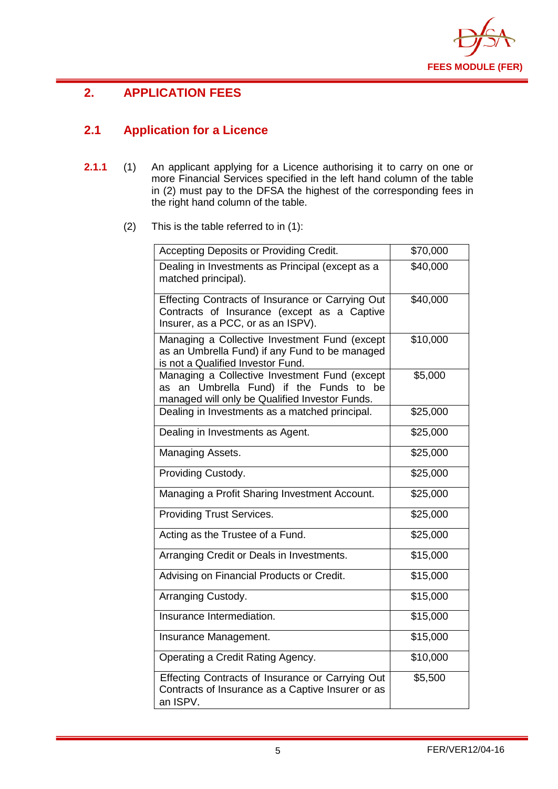

# <span id="page-6-0"></span>**2. APPLICATION FEES**

# <span id="page-6-1"></span>**2.1 Application for a Licence**

- **2.1.1** (1) An applicant applying for a Licence authorising it to carry on one or more Financial Services specified in the left hand column of the table in (2) must pay to the DFSA the highest of the corresponding fees in the right hand column of the table.
	- (2) This is the table referred to in (1):

| Accepting Deposits or Providing Credit.                                                                                                    | \$70,000 |
|--------------------------------------------------------------------------------------------------------------------------------------------|----------|
| Dealing in Investments as Principal (except as a<br>matched principal).                                                                    | \$40,000 |
| Effecting Contracts of Insurance or Carrying Out<br>Contracts of Insurance (except as a Captive<br>Insurer, as a PCC, or as an ISPV).      | \$40,000 |
| Managing a Collective Investment Fund (except<br>as an Umbrella Fund) if any Fund to be managed<br>is not a Qualified Investor Fund.       | \$10,000 |
| Managing a Collective Investment Fund (except<br>as an Umbrella Fund) if the Funds to be<br>managed will only be Qualified Investor Funds. | \$5,000  |
| Dealing in Investments as a matched principal.                                                                                             | \$25,000 |
| Dealing in Investments as Agent.                                                                                                           | \$25,000 |
| Managing Assets.                                                                                                                           | \$25,000 |
| Providing Custody.                                                                                                                         | \$25,000 |
| Managing a Profit Sharing Investment Account.                                                                                              | \$25,000 |
| <b>Providing Trust Services.</b>                                                                                                           | \$25,000 |
| Acting as the Trustee of a Fund.                                                                                                           | \$25,000 |
| Arranging Credit or Deals in Investments.                                                                                                  | \$15,000 |
| Advising on Financial Products or Credit.                                                                                                  | \$15,000 |
| Arranging Custody.                                                                                                                         | \$15,000 |
| Insurance Intermediation.                                                                                                                  | \$15,000 |
| Insurance Management.                                                                                                                      | \$15,000 |
| Operating a Credit Rating Agency.                                                                                                          | \$10,000 |
| Effecting Contracts of Insurance or Carrying Out<br>Contracts of Insurance as a Captive Insurer or as<br>an ISPV.                          | \$5,500  |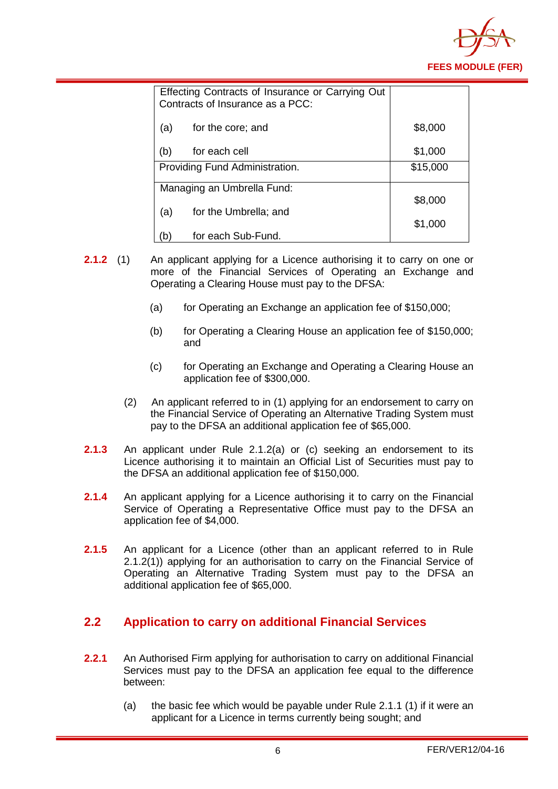

|                            | Effecting Contracts of Insurance or Carrying Out<br>Contracts of Insurance as a PCC: |          |
|----------------------------|--------------------------------------------------------------------------------------|----------|
| (a)                        | for the core; and                                                                    | \$8,000  |
| (b)                        | for each cell                                                                        | \$1,000  |
|                            | Providing Fund Administration.                                                       | \$15,000 |
| Managing an Umbrella Fund: |                                                                                      |          |
|                            |                                                                                      | \$8,000  |
| (a)                        | for the Umbrella; and                                                                | \$1,000  |
| $\mathsf{b}$               | for each Sub-Fund.                                                                   |          |

- **2.1.2** (1) An applicant applying for a Licence authorising it to carry on one or more of the Financial Services of Operating an Exchange and Operating a Clearing House must pay to the DFSA:
	- (a) for Operating an Exchange an application fee of  $$150,000$ ;
	- (b) for Operating a Clearing House an application fee of \$150,000; and
	- (c) for Operating an Exchange and Operating a Clearing House an application fee of \$300,000.
	- (2) An applicant referred to in (1) applying for an endorsement to carry on the Financial Service of Operating an Alternative Trading System must pay to the DFSA an additional application fee of \$65,000.
- **2.1.3** An applicant under Rule 2.1.2(a) or (c) seeking an endorsement to its Licence authorising it to maintain an Official List of Securities must pay to the DFSA an additional application fee of \$150,000.
- **2.1.4** An applicant applying for a Licence authorising it to carry on the Financial Service of Operating a Representative Office must pay to the DFSA an application fee of \$4,000.
- **2.1.5** An applicant for a Licence (other than an applicant referred to in Rule 2.1.2(1)) applying for an authorisation to carry on the Financial Service of Operating an Alternative Trading System must pay to the DFSA an additional application fee of \$65,000.

#### <span id="page-7-0"></span>**2.2 Application to carry on additional Financial Services**

- **2.2.1** An Authorised Firm applying for authorisation to carry on additional Financial Services must pay to the DFSA an application fee equal to the difference between:
	- (a) the basic fee which would be payable under Rule 2.1.1 (1) if it were an applicant for a Licence in terms currently being sought; and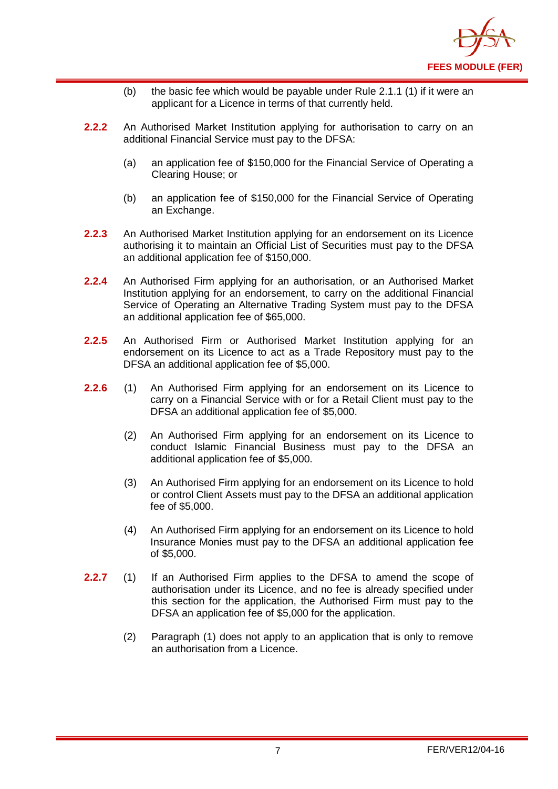

- (b) the basic fee which would be payable under Rule 2.1.1 (1) if it were an applicant for a Licence in terms of that currently held.
- **2.2.2** An Authorised Market Institution applying for authorisation to carry on an additional Financial Service must pay to the DFSA:
	- (a) an application fee of \$150,000 for the Financial Service of Operating a Clearing House; or
	- (b) an application fee of \$150,000 for the Financial Service of Operating an Exchange.
- **2.2.3** An Authorised Market Institution applying for an endorsement on its Licence authorising it to maintain an Official List of Securities must pay to the DFSA an additional application fee of \$150,000.
- **2.2.4** An Authorised Firm applying for an authorisation, or an Authorised Market Institution applying for an endorsement, to carry on the additional Financial Service of Operating an Alternative Trading System must pay to the DFSA an additional application fee of \$65,000.
- **2.2.5** An Authorised Firm or Authorised Market Institution applying for an endorsement on its Licence to act as a Trade Repository must pay to the DFSA an additional application fee of \$5,000.
- **2.2.6** (1) An Authorised Firm applying for an endorsement on its Licence to carry on a Financial Service with or for a Retail Client must pay to the DFSA an additional application fee of \$5,000.
	- (2) An Authorised Firm applying for an endorsement on its Licence to conduct Islamic Financial Business must pay to the DFSA an additional application fee of \$5,000.
	- (3) An Authorised Firm applying for an endorsement on its Licence to hold or control Client Assets must pay to the DFSA an additional application fee of \$5,000.
	- (4) An Authorised Firm applying for an endorsement on its Licence to hold Insurance Monies must pay to the DFSA an additional application fee of \$5,000.
- <span id="page-8-0"></span>**2.2.7** (1) If an Authorised Firm applies to the DFSA to amend the scope of authorisation under its Licence, and no fee is already specified under this section for the application, the Authorised Firm must pay to the DFSA an application fee of \$5,000 for the application.
	- (2) Paragraph (1) does not apply to an application that is only to remove an authorisation from a Licence.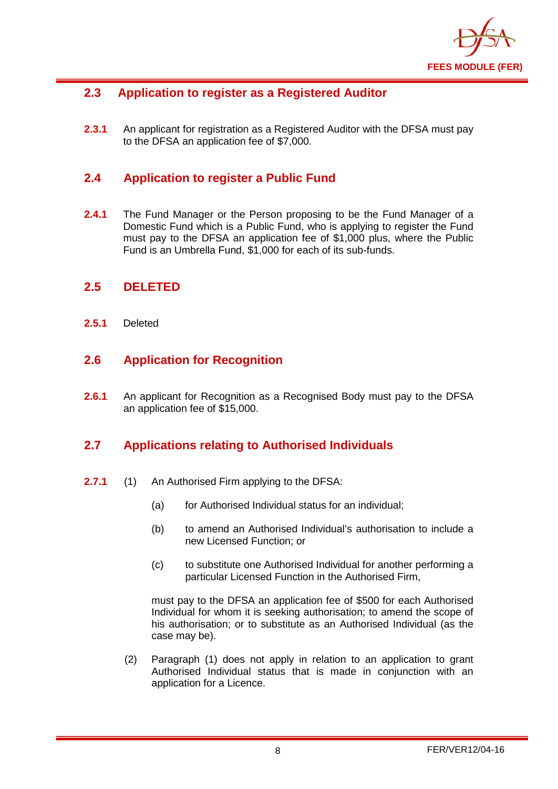

#### **2.3 Application to register as a Registered Auditor**

**2.3.1** An applicant for registration as a Registered Auditor with the DFSA must pay to the DFSA an application fee of \$7,000.

#### <span id="page-9-0"></span>**2.4 Application to register a Public Fund**

**2.4.1** The Fund Manager or the Person proposing to be the Fund Manager of a Domestic Fund which is a Public Fund, who is applying to register the Fund must pay to the DFSA an application fee of \$1,000 plus, where the Public Fund is an Umbrella Fund, \$1,000 for each of its sub-funds.

#### <span id="page-9-1"></span>**2.5 DELETED**

**2.5.1** Deleted

#### <span id="page-9-2"></span>**2.6 Application for Recognition**

**2.6.1** An applicant for Recognition as a Recognised Body must pay to the DFSA an application fee of \$15,000.

#### <span id="page-9-3"></span>**2.7 Applications relating to Authorised Individuals**

- **2.7.1** (1) An Authorised Firm applying to the DFSA:
	- (a) for Authorised Individual status for an individual;
	- (b) to amend an Authorised Individual's authorisation to include a new Licensed Function; or
	- (c) to substitute one Authorised Individual for another performing a particular Licensed Function in the Authorised Firm,

must pay to the DFSA an application fee of \$500 for each Authorised Individual for whom it is seeking authorisation; to amend the scope of his authorisation; or to substitute as an Authorised Individual (as the case may be).

(2) Paragraph (1) does not apply in relation to an application to grant Authorised Individual status that is made in conjunction with an application for a Licence.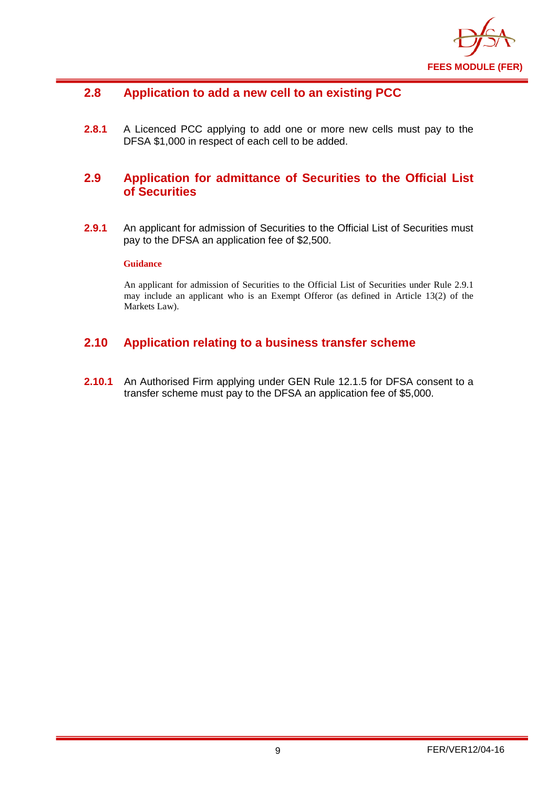

#### <span id="page-10-0"></span>**2.8 Application to add a new cell to an existing PCC**

**2.8.1** A Licenced PCC applying to add one or more new cells must pay to the DFSA \$1,000 in respect of each cell to be added.

#### <span id="page-10-1"></span>**2.9 Application for admittance of Securities to the Official List of Securities**

**2.9.1** An applicant for admission of Securities to the Official List of Securities must pay to the DFSA an application fee of \$2,500.

#### **Guidance**

An applicant for admission of Securities to the Official List of Securities under Rule 2.9.1 may include an applicant who is an Exempt Offeror (as defined in Article 13(2) of the Markets Law).

#### <span id="page-10-2"></span>**2.10 Application relating to a business transfer scheme**

**2.10.1** An Authorised Firm applying under GEN Rule 12.1.5 for DFSA consent to a transfer scheme must pay to the DFSA an application fee of \$5,000.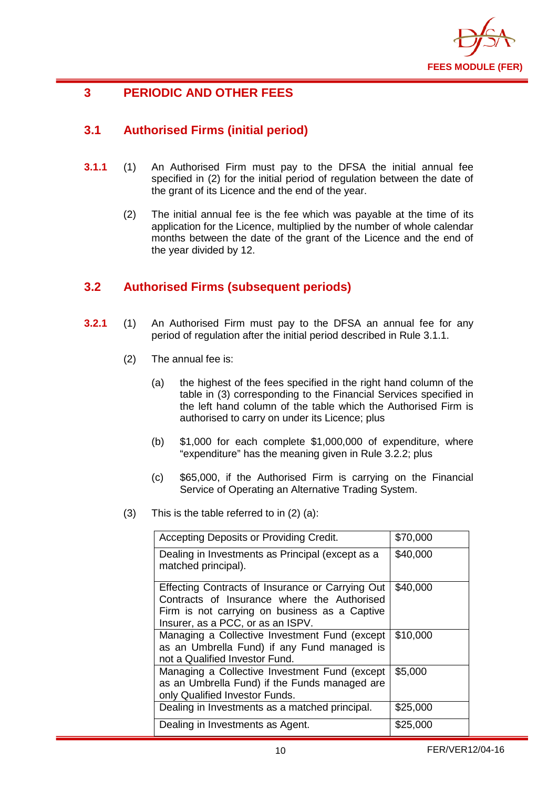

# <span id="page-11-0"></span>**3 PERIODIC AND OTHER FEES**

# <span id="page-11-1"></span>**3.1 Authorised Firms (initial period)**

- **3.1.1** (1) An Authorised Firm must pay to the DFSA the initial annual fee specified in (2) for the initial period of regulation between the date of the grant of its Licence and the end of the year.
	- (2) The initial annual fee is the fee which was payable at the time of its application for the Licence, multiplied by the number of whole calendar months between the date of the grant of the Licence and the end of the year divided by 12.

#### <span id="page-11-2"></span>**3.2 Authorised Firms (subsequent periods)**

- **3.2.1** (1) An Authorised Firm must pay to the DFSA an annual fee for any period of regulation after the initial period described in Rule 3.1.1.
	- (2) The annual fee is:
		- (a) the highest of the fees specified in the right hand column of the table in (3) corresponding to the Financial Services specified in the left hand column of the table which the Authorised Firm is authorised to carry on under its Licence; plus
		- (b) \$1,000 for each complete \$1,000,000 of expenditure, where "expenditure" has the meaning given in Rule 3.2.2; plus
		- (c) \$65,000, if the Authorised Firm is carrying on the Financial Service of Operating an Alternative Trading System.
	- (3) This is the table referred to in (2) (a):

| Accepting Deposits or Providing Credit.                                                                                                                                               | \$70,000 |
|---------------------------------------------------------------------------------------------------------------------------------------------------------------------------------------|----------|
| Dealing in Investments as Principal (except as a<br>matched principal).                                                                                                               | \$40,000 |
| Effecting Contracts of Insurance or Carrying Out<br>Contracts of Insurance where the Authorised<br>Firm is not carrying on business as a Captive<br>Insurer, as a PCC, or as an ISPV. | \$40,000 |
| Managing a Collective Investment Fund (except<br>as an Umbrella Fund) if any Fund managed is<br>not a Qualified Investor Fund.                                                        | \$10,000 |
| Managing a Collective Investment Fund (except<br>as an Umbrella Fund) if the Funds managed are<br>only Qualified Investor Funds.                                                      | \$5,000  |
| Dealing in Investments as a matched principal.                                                                                                                                        | \$25,000 |
| Dealing in Investments as Agent.                                                                                                                                                      | \$25,000 |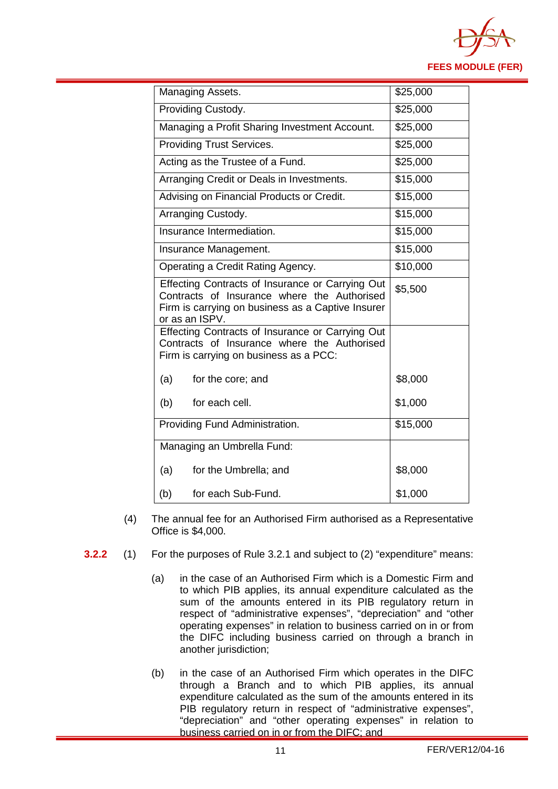

| Managing Assets.                                                                                                                                                       | \$25,000 |  |
|------------------------------------------------------------------------------------------------------------------------------------------------------------------------|----------|--|
| Providing Custody.                                                                                                                                                     | \$25,000 |  |
| Managing a Profit Sharing Investment Account.                                                                                                                          | \$25,000 |  |
| Providing Trust Services.                                                                                                                                              | \$25,000 |  |
| Acting as the Trustee of a Fund.                                                                                                                                       | \$25,000 |  |
| Arranging Credit or Deals in Investments.                                                                                                                              | \$15,000 |  |
| Advising on Financial Products or Credit.                                                                                                                              | \$15,000 |  |
| Arranging Custody.                                                                                                                                                     | \$15,000 |  |
| Insurance Intermediation.                                                                                                                                              | \$15,000 |  |
| Insurance Management.                                                                                                                                                  | \$15,000 |  |
| Operating a Credit Rating Agency.                                                                                                                                      | \$10,000 |  |
| Effecting Contracts of Insurance or Carrying Out<br>Contracts of Insurance where the Authorised<br>Firm is carrying on business as a Captive Insurer<br>or as an ISPV. | \$5,500  |  |
| Effecting Contracts of Insurance or Carrying Out<br>Contracts of Insurance where the Authorised<br>Firm is carrying on business as a PCC:                              |          |  |
| (a)<br>for the core; and                                                                                                                                               | \$8,000  |  |
| (b)<br>for each cell.                                                                                                                                                  | \$1,000  |  |
| Providing Fund Administration.                                                                                                                                         | \$15,000 |  |
| Managing an Umbrella Fund:                                                                                                                                             |          |  |
| (a)<br>for the Umbrella; and                                                                                                                                           | \$8,000  |  |
| (b)<br>for each Sub-Fund.                                                                                                                                              | \$1,000  |  |

- (4) The annual fee for an Authorised Firm authorised as a Representative Office is \$4,000.
- **3.2.2** (1) For the purposes of Rule 3.2.1 and subject to (2) "expenditure" means:
	- (a) in the case of an Authorised Firm which is a Domestic Firm and to which PIB applies, its annual expenditure calculated as the sum of the amounts entered in its PIB regulatory return in respect of "administrative expenses", "depreciation" and "other operating expenses" in relation to business carried on in or from the DIFC including business carried on through a branch in another jurisdiction;
	- (b) in the case of an Authorised Firm which operates in the DIFC through a Branch and to which PIB applies, its annual expenditure calculated as the sum of the amounts entered in its PIB regulatory return in respect of "administrative expenses", "depreciation" and "other operating expenses" in relation to business carried on in or from the DIFC; and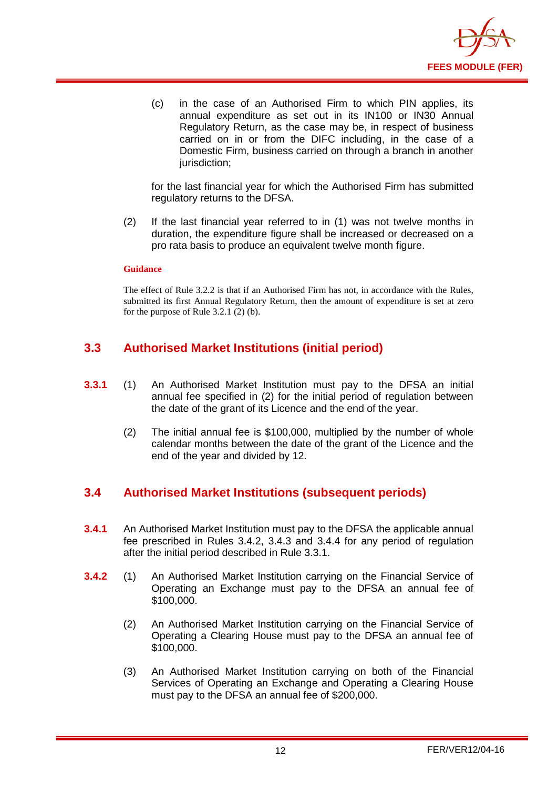

(c) in the case of an Authorised Firm to which PIN applies, its annual expenditure as set out in its IN100 or IN30 Annual Regulatory Return, as the case may be, in respect of business carried on in or from the DIFC including, in the case of a Domestic Firm, business carried on through a branch in another jurisdiction:

for the last financial year for which the Authorised Firm has submitted regulatory returns to the DFSA.

(2) If the last financial year referred to in (1) was not twelve months in duration, the expenditure figure shall be increased or decreased on a pro rata basis to produce an equivalent twelve month figure.

#### **Guidance**

The effect of Rule 3.2.2 is that if an Authorised Firm has not, in accordance with the Rules, submitted its first Annual Regulatory Return, then the amount of expenditure is set at zero for the purpose of Rule 3.2.1 (2) (b).

#### <span id="page-13-0"></span>**3.3 Authorised Market Institutions (initial period)**

- **3.3.1** (1) An Authorised Market Institution must pay to the DFSA an initial annual fee specified in (2) for the initial period of regulation between the date of the grant of its Licence and the end of the year.
	- (2) The initial annual fee is \$100,000, multiplied by the number of whole calendar months between the date of the grant of the Licence and the end of the year and divided by 12.

#### <span id="page-13-1"></span>**3.4 Authorised Market Institutions (subsequent periods)**

- **3.4.1** An Authorised Market Institution must pay to the DFSA the applicable annual fee prescribed in Rules 3.4.2, 3.4.3 and 3.4.4 for any period of regulation after the initial period described in Rule 3.3.1.
- **3.4.2** (1) An Authorised Market Institution carrying on the Financial Service of Operating an Exchange must pay to the DFSA an annual fee of \$100,000.
	- (2) An Authorised Market Institution carrying on the Financial Service of Operating a Clearing House must pay to the DFSA an annual fee of \$100,000.
	- (3) An Authorised Market Institution carrying on both of the Financial Services of Operating an Exchange and Operating a Clearing House must pay to the DFSA an annual fee of \$200,000.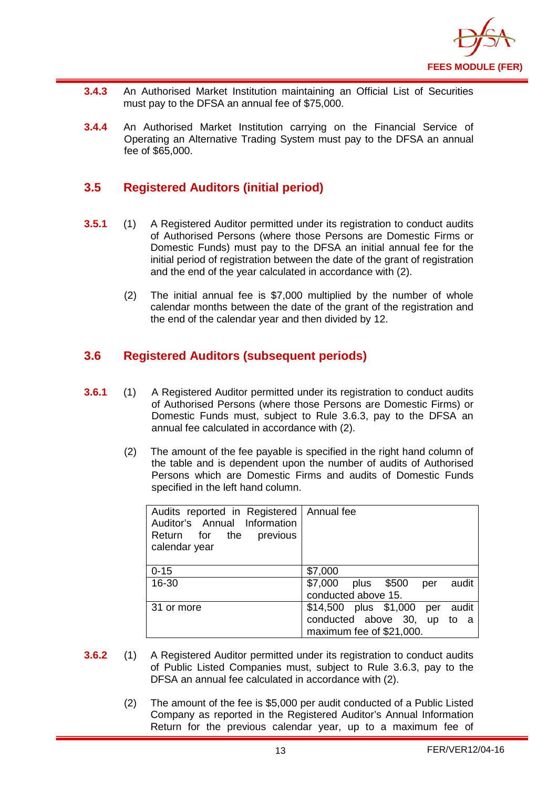

- **3.4.3** An Authorised Market Institution maintaining an Official List of Securities must pay to the DFSA an annual fee of \$75,000.
- **3.4.4** An Authorised Market Institution carrying on the Financial Service of Operating an Alternative Trading System must pay to the DFSA an annual fee of \$65,000.

#### <span id="page-14-0"></span>**3.5 Registered Auditors (initial period)**

- **3.5.1** (1) A Registered Auditor permitted under its registration to conduct audits of Authorised Persons (where those Persons are Domestic Firms or Domestic Funds) must pay to the DFSA an initial annual fee for the initial period of registration between the date of the grant of registration and the end of the year calculated in accordance with (2).
	- (2) The initial annual fee is \$7,000 multiplied by the number of whole calendar months between the date of the grant of the registration and the end of the calendar year and then divided by 12.

#### <span id="page-14-1"></span>**3.6 Registered Auditors (subsequent periods)**

- **3.6.1** (1) A Registered Auditor permitted under its registration to conduct audits of Authorised Persons (where those Persons are Domestic Firms) or Domestic Funds must, subject to Rule 3.6.3, pay to the DFSA an annual fee calculated in accordance with (2).
	- (2) The amount of the fee payable is specified in the right hand column of the table and is dependent upon the number of audits of Authorised Persons which are Domestic Firms and audits of Domestic Funds specified in the left hand column.

| Audits reported in Registered   Annual fee<br>Auditor's Annual Information<br>Return for the previous<br>calendar year |                                       |
|------------------------------------------------------------------------------------------------------------------------|---------------------------------------|
| $0 - 15$                                                                                                               | \$7,000                               |
| 16-30                                                                                                                  | \$7,000<br>plus \$500<br>audit<br>per |
|                                                                                                                        | conducted above 15.                   |
| 31 or more                                                                                                             | \$14,500 plus \$1,000 per audit       |
|                                                                                                                        | conducted above 30, up to a           |
|                                                                                                                        | maximum fee of \$21,000.              |

- **3.6.2** (1) A Registered Auditor permitted under its registration to conduct audits of Public Listed Companies must, subject to Rule 3.6.3, pay to the DFSA an annual fee calculated in accordance with (2).
	- (2) The amount of the fee is \$5,000 per audit conducted of a Public Listed Company as reported in the Registered Auditor's Annual Information Return for the previous calendar year, up to a maximum fee of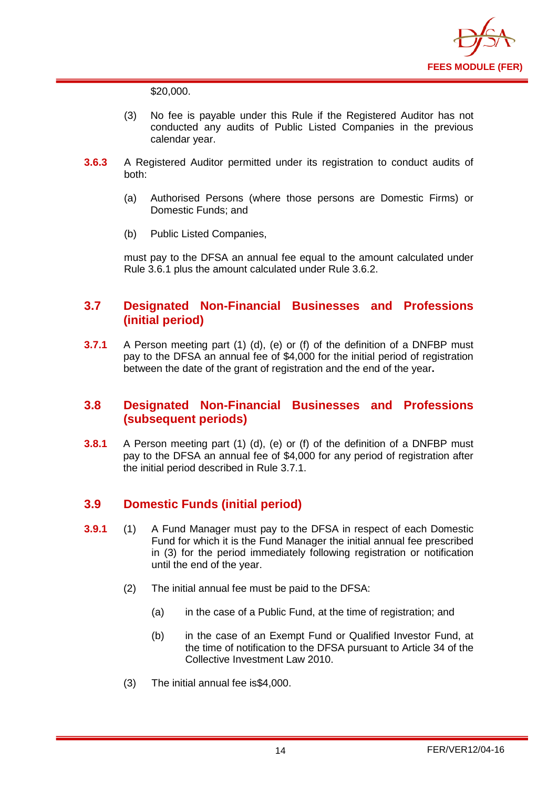

\$20,000.

- (3) No fee is payable under this Rule if the Registered Auditor has not conducted any audits of Public Listed Companies in the previous calendar year.
- **3.6.3** A Registered Auditor permitted under its registration to conduct audits of both:
	- (a) Authorised Persons (where those persons are Domestic Firms) or Domestic Funds; and
	- (b) Public Listed Companies,

must pay to the DFSA an annual fee equal to the amount calculated under Rule 3.6.1 plus the amount calculated under Rule 3.6.2.

#### <span id="page-15-0"></span>**3.7 Designated Non-Financial Businesses and Professions (initial period)**

**3.7.1** A Person meeting part (1) (d), (e) or (f) of the definition of a DNFBP must pay to the DFSA an annual fee of \$4,000 for the initial period of registration between the date of the grant of registration and the end of the year**.** 

#### <span id="page-15-1"></span>**3.8 Designated Non-Financial Businesses and Professions (subsequent periods)**

**3.8.1** A Person meeting part (1) (d), (e) or (f) of the definition of a DNFBP must pay to the DFSA an annual fee of \$4,000 for any period of registration after the initial period described in Rule 3.7.1.

### <span id="page-15-2"></span>**3.9 Domestic Funds (initial period)**

- **3.9.1** (1) A Fund Manager must pay to the DFSA in respect of each Domestic Fund for which it is the Fund Manager the initial annual fee prescribed in (3) for the period immediately following registration or notification until the end of the year.
	- (2) The initial annual fee must be paid to the DFSA:
		- (a) in the case of a Public Fund, at the time of registration; and
		- (b) in the case of an Exempt Fund or Qualified Investor Fund, at the time of notification to the DFSA pursuant to Article 34 of the Collective Investment Law 2010.
	- (3) The initial annual fee is\$4,000.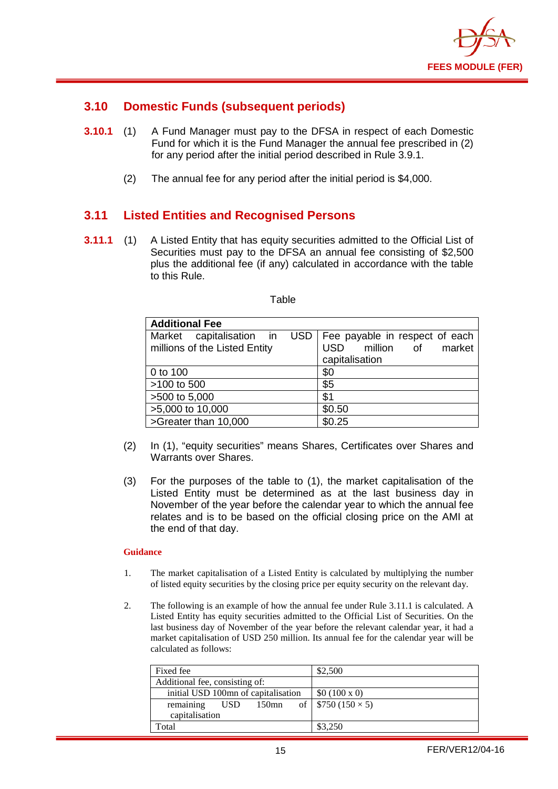

#### <span id="page-16-0"></span>**3.10 Domestic Funds (subsequent periods)**

- **3.10.1** (1) A Fund Manager must pay to the DFSA in respect of each Domestic Fund for which it is the Fund Manager the annual fee prescribed in (2) for any period after the initial period described in Rule 3.9.1.
	- (2) The annual fee for any period after the initial period is \$4,000.

#### <span id="page-16-1"></span>**3.11 Listed Entities and Recognised Persons**

**3.11.1** (1) A Listed Entity that has equity securities admitted to the Official List of Securities must pay to the DFSA an annual fee consisting of \$2,500 plus the additional fee (if any) calculated in accordance with the table to this Rule.

| <b>Additional Fee</b>                                     |                                                                                              |  |  |  |
|-----------------------------------------------------------|----------------------------------------------------------------------------------------------|--|--|--|
| Market capitalisation in<br>millions of the Listed Entity | USD   Fee payable in respect of each<br>million of<br>market<br><b>USD</b><br>capitalisation |  |  |  |
| 0 to 100                                                  | \$0                                                                                          |  |  |  |
| >100 to 500                                               | \$5                                                                                          |  |  |  |
| >500 to 5,000                                             | \$1                                                                                          |  |  |  |
| >5,000 to 10,000                                          | \$0.50                                                                                       |  |  |  |
| >Greater than 10,000                                      | \$0.25                                                                                       |  |  |  |

- (2) In (1), "equity securities" means Shares, Certificates over Shares and Warrants over Shares.
- (3) For the purposes of the table to (1), the market capitalisation of the Listed Entity must be determined as at the last business day in November of the year before the calendar year to which the annual fee relates and is to be based on the official closing price on the AMI at the end of that day.

#### **Guidance**

- 1. The market capitalisation of a Listed Entity is calculated by multiplying the number of listed equity securities by the closing price per equity security on the relevant day.
- 2. The following is an example of how the annual fee under Rule 3.11.1 is calculated. A Listed Entity has equity securities admitted to the Official List of Securities. On the last business day of November of the year before the relevant calendar year, it had a market capitalisation of USD 250 million. Its annual fee for the calendar year will be calculated as follows:

| Fixed fee                           | \$2,500                           |
|-------------------------------------|-----------------------------------|
| Additional fee, consisting of:      |                                   |
| initial USD 100mn of capitalisation | \$0 (100 x 0)                     |
| remaining<br>USD.                   | 150mn of   \$750 (150 $\times$ 5) |
| capitalisation                      |                                   |
| Total                               | \$3,250                           |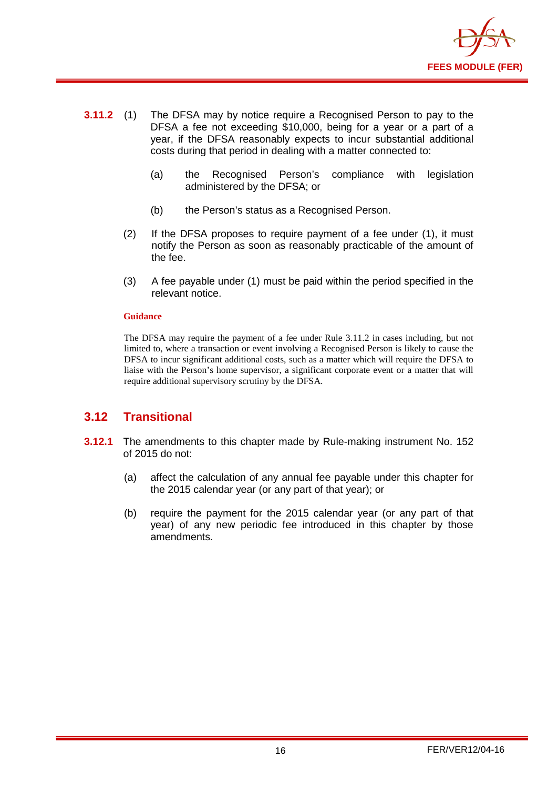

- **3.11.2** (1) The DFSA may by notice require a Recognised Person to pay to the DFSA a fee not exceeding \$10,000, being for a year or a part of a year, if the DFSA reasonably expects to incur substantial additional costs during that period in dealing with a matter connected to:
	- (a) the Recognised Person's compliance with legislation administered by the DFSA; or
	- (b) the Person's status as a Recognised Person.
	- (2) If the DFSA proposes to require payment of a fee under (1), it must notify the Person as soon as reasonably practicable of the amount of the fee.
	- (3) A fee payable under (1) must be paid within the period specified in the relevant notice.

#### **Guidance**

The DFSA may require the payment of a fee under Rule 3.11.2 in cases including, but not limited to, where a transaction or event involving a Recognised Person is likely to cause the DFSA to incur significant additional costs, such as a matter which will require the DFSA to liaise with the Person's home supervisor, a significant corporate event or a matter that will require additional supervisory scrutiny by the DFSA.

#### <span id="page-17-0"></span>**3.12 Transitional**

- **3.12.1** The amendments to this chapter made by Rule-making instrument No. 152 of 2015 do not:
	- (a) affect the calculation of any annual fee payable under this chapter for the 2015 calendar year (or any part of that year); or
	- (b) require the payment for the 2015 calendar year (or any part of that year) of any new periodic fee introduced in this chapter by those amendments.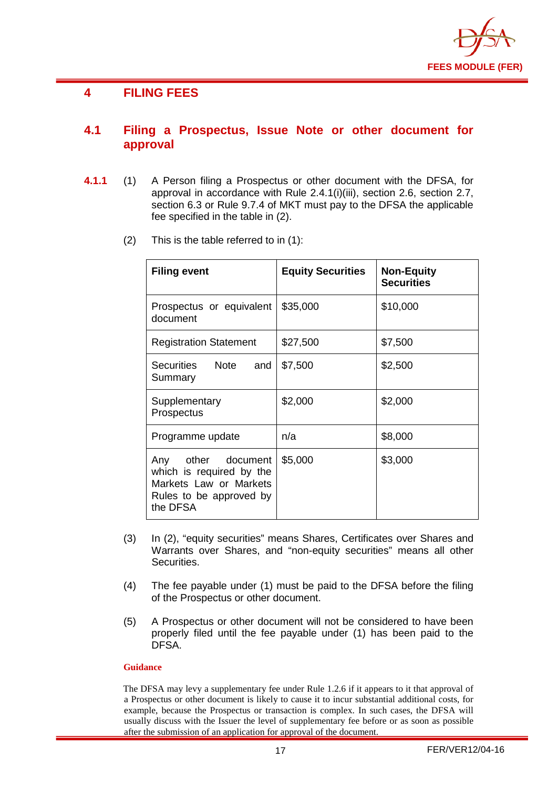

#### <span id="page-18-0"></span>**4 FILING FEES**

#### <span id="page-18-1"></span>**4.1 Filing a Prospectus, Issue Note or other document for approval**

- **4.1.1** (1) A Person filing a Prospectus or other document with the DFSA, for approval in accordance with Rule 2.4.1(i)(iii), section 2.6, section 2.7, section 6.3 or Rule 9.7.4 of MKT must pay to the DFSA the applicable fee specified in the table in (2).
	- (2) This is the table referred to in (1):

| <b>Filing event</b>                                                                                             | <b>Equity Securities</b> | <b>Non-Equity</b><br><b>Securities</b> |
|-----------------------------------------------------------------------------------------------------------------|--------------------------|----------------------------------------|
| Prospectus or equivalent<br>document                                                                            | \$35,000                 | \$10,000                               |
| <b>Registration Statement</b>                                                                                   | \$27,500                 | \$7,500                                |
| Securities Note<br>and<br>Summary                                                                               | \$7,500                  | \$2,500                                |
| Supplementary<br>Prospectus                                                                                     | \$2,000                  | \$2,000                                |
| Programme update                                                                                                | n/a                      | \$8,000                                |
| Any other document<br>which is required by the<br>Markets Law or Markets<br>Rules to be approved by<br>the DFSA | \$5,000                  | \$3,000                                |

- (3) In (2), "equity securities" means Shares, Certificates over Shares and Warrants over Shares, and "non-equity securities" means all other Securities.
- (4) The fee payable under (1) must be paid to the DFSA before the filing of the Prospectus or other document.
- (5) A Prospectus or other document will not be considered to have been properly filed until the fee payable under (1) has been paid to the DFSA.

#### **Guidance**

The DFSA may levy a supplementary fee under Rule 1.2.6 if it appears to it that approval of a Prospectus or other document is likely to cause it to incur substantial additional costs, for example, because the Prospectus or transaction is complex. In such cases, the DFSA will usually discuss with the Issuer the level of supplementary fee before or as soon as possible after the submission of an application for approval of the document.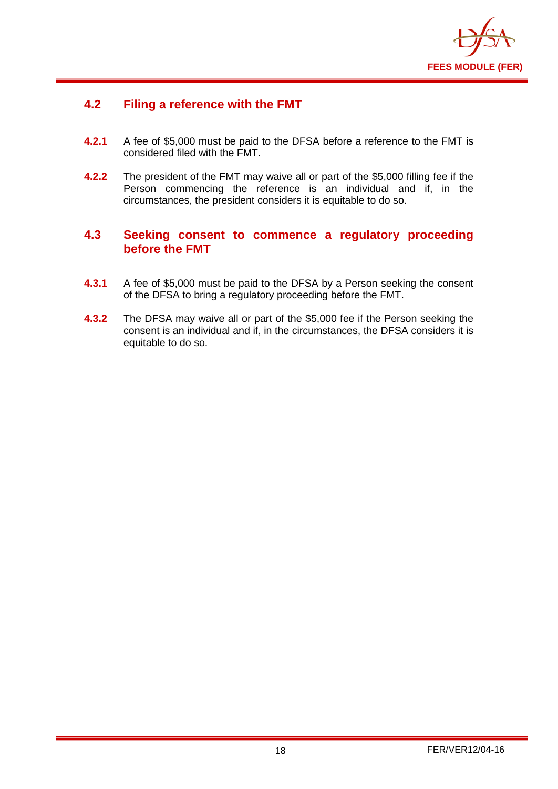

#### <span id="page-19-0"></span>**4.2 Filing a reference with the FMT**

- **4.2.1** A fee of \$5,000 must be paid to the DFSA before a reference to the FMT is considered filed with the FMT.
- **4.2.2** The president of the FMT may waive all or part of the \$5,000 filling fee if the Person commencing the reference is an individual and if, in the circumstances, the president considers it is equitable to do so.

#### <span id="page-19-1"></span>**4.3 Seeking consent to commence a regulatory proceeding before the FMT**

- **4.3.1** A fee of \$5,000 must be paid to the DFSA by a Person seeking the consent of the DFSA to bring a regulatory proceeding before the FMT.
- **4.3.2** The DFSA may waive all or part of the \$5,000 fee if the Person seeking the consent is an individual and if, in the circumstances, the DFSA considers it is equitable to do so.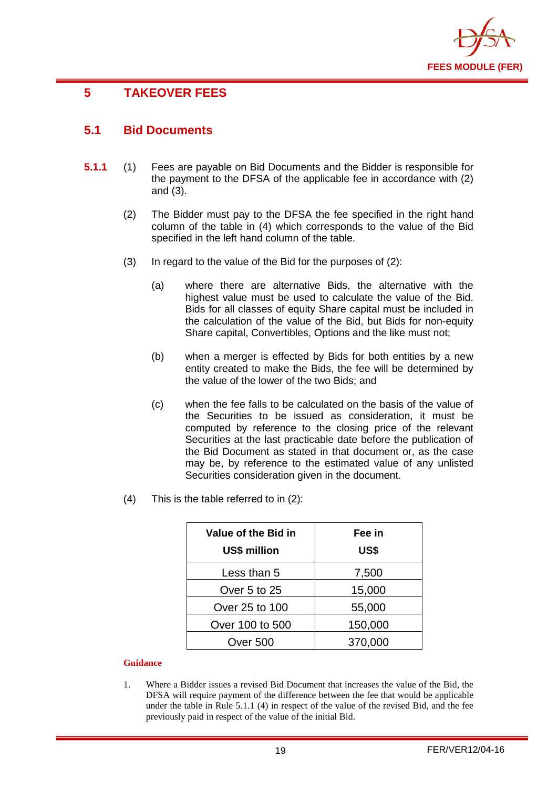

# <span id="page-20-0"></span>**5 TAKEOVER FEES**

#### <span id="page-20-1"></span>**5.1 Bid Documents**

- **5.1.1** (1) Fees are payable on Bid Documents and the Bidder is responsible for the payment to the DFSA of the applicable fee in accordance with (2) and (3).
	- (2) The Bidder must pay to the DFSA the fee specified in the right hand column of the table in (4) which corresponds to the value of the Bid specified in the left hand column of the table.
	- (3) In regard to the value of the Bid for the purposes of (2):
		- (a) where there are alternative Bids, the alternative with the highest value must be used to calculate the value of the Bid. Bids for all classes of equity Share capital must be included in the calculation of the value of the Bid, but Bids for non-equity Share capital, Convertibles, Options and the like must not;
		- (b) when a merger is effected by Bids for both entities by a new entity created to make the Bids, the fee will be determined by the value of the lower of the two Bids; and
		- (c) when the fee falls to be calculated on the basis of the value of the Securities to be issued as consideration, it must be computed by reference to the closing price of the relevant Securities at the last practicable date before the publication of the Bid Document as stated in that document or, as the case may be, by reference to the estimated value of any unlisted Securities consideration given in the document.
	- (4) This is the table referred to in (2):

| Value of the Bid in<br><b>US\$ million</b> | Fee in<br>US\$ |
|--------------------------------------------|----------------|
| Less than 5                                | 7,500          |
| Over 5 to 25                               | 15,000         |
| Over 25 to 100                             | 55,000         |
| Over 100 to 500                            | 150,000        |
| Over 500                                   | 370,000        |

#### **Guidance**

1. Where a Bidder issues a revised Bid Document that increases the value of the Bid, the DFSA will require payment of the difference between the fee that would be applicable under the table in Rule 5.1.1 (4) in respect of the value of the revised Bid, and the fee previously paid in respect of the value of the initial Bid.